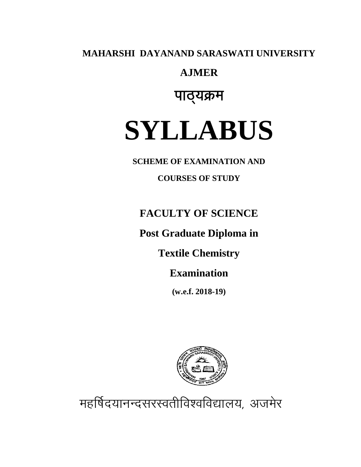MAHARSHI DAYANAND SARASWATI UNIVERSITY

## **AJMER**

# पाठ्यक्रम

# **SYLLABUS**

**SCHEME OF EXAMINATION AND** 

**COURSES OF STUDY** 

# **FACULTY OF SCIENCE**

# Post Graduate Diploma in

**Textile Chemistry** 

# **Examination**

 $(w.e.f. 2018-19)$ 



महर्षिदयानन्दसरस्वतीविश्वविद्यालय, अजमेर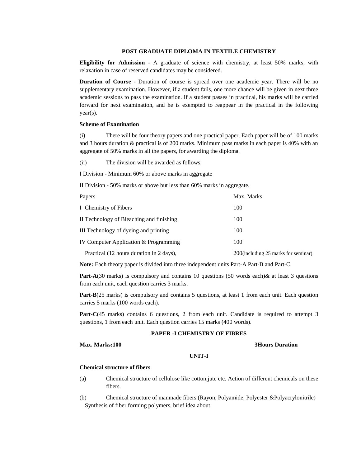### **POST GRADUATE DIPLOMA IN TEXTILE CHEMISTRY**

**Eligibility for Admission** - A graduate of science with chemistry, at least 50% marks, with relaxation in case of reserved candidates may be considered.

**Duration of Course** - Duration of course is spread over one academic year. There will be no supplementary examination. However, if a student fails, one more chance will be given in next three academic sessions to pass the examination. If a student passes in practical, his marks will be carried forward for next examination, and he is exempted to reappear in the practical in the following year(s).

### **Scheme of Examination**

(i) There will be four theory papers and one practical paper. Each paper will be of 100 marks and 3 hours duration & practical is of 200 marks. Minimum pass marks in each paper is 40% with an aggregate of 50% marks in all the papers, for awarding the diploma.

(ii) The division will be awarded as follows:

I Division - Minimum 60% or above marks in aggregate

II Division - 50% marks or above but less than 60% marks in aggregate.

| Papers                                   | Max. Marks                          |
|------------------------------------------|-------------------------------------|
| I Chemistry of Fibers                    | 100                                 |
| II Technology of Bleaching and finishing | 100                                 |
| III Technology of dyeing and printing    | 100                                 |
| IV Computer Application & Programming    | 100                                 |
| Practical (12 hours duration in 2 days), | 200(including 25 marks for seminar) |

**Note:** Each theory paper is divided into three independent units Part-A Part-B and Part-C.

**Part-A**(30 marks) is compulsory and contains 10 questions (50 words each)& at least 3 questions from each unit, each question carries 3 marks.

**Part-B**(25 marks) is compulsory and contains 5 questions, at least 1 from each unit. Each question carries 5 marks (100 words each).

Part-C(45 marks) contains 6 questions, 2 from each unit. Candidate is required to attempt 3 questions, 1 from each unit. Each question carries 15 marks (400 words).

### **PAPER -I CHEMISTRY OF FIBRES**

### **Max. Marks:100 3Hours Duration**

### **UNIT-I**

### **Chemical structure of fibers**

- (a) Chemical structure of cellulose like cotton,jute etc. Action of different chemicals on these fibers.
- (b) Chemical structure of manmade fibers (Rayon, Polyamide, Polyester &Polyacrylonitrile) Synthesis of fiber forming polymers, brief idea about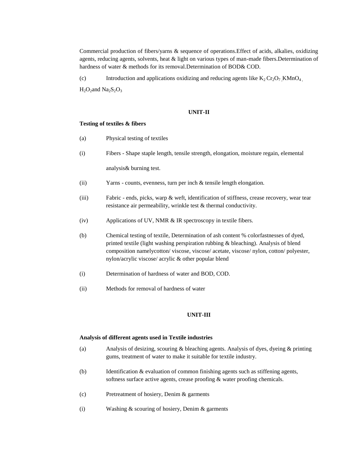Commercial production of fibers/yarns & sequence of operations.Effect of acids, alkalies, oxidizing agents, reducing agents, solvents, heat & light on various types of man-made fibers.Determination of hardness of water & methods for its removal.Determination of BOD& COD.

(c) Introduction and applications oxidizing and reducing agents like  $K_2 Cr_2O_7$  , KMnO<sub>4</sub>

 $H_2O_2$ and Na<sub>2</sub>S<sub>2</sub>O<sub>3</sub>

### **UNIT-II**

### **Testing of textiles & fibers**

- (a) Physical testing of textiles
- (i) Fibers Shape staple length, tensile strength, elongation, moisture regain, elemental

analysis& burning test.

- (ii) Yarns counts, evenness, turn per inch & tensile length elongation.
- (iii) Fabric ends, picks, warp & weft, identification of stiffness, crease recovery, wear tear resistance air permeability, wrinkle test & thermal conductivity.
- (iv) Applications of UV, NMR & IR spectroscopy in textile fibers.
- (b) Chemical testing of textile, Determination of ash content % colorfastnesses of dyed, printed textile (light washing perspiration rubbing & bleaching). Analysis of blend composition namelycotton/ viscose, viscose/ acetate, viscose/ nylon, cotton/ polyester, nylon/acrylic viscose/ acrylic & other popular blend
- (i) Determination of hardness of water and BOD, COD.
- (ii) Methods for removal of hardness of water

### **UNIT-III**

### **Analysis of different agents used in Textile industries**

- (a) Analysis of desizing, scouring & bleaching agents. Analysis of dyes, dyeing & printing gums, treatment of water to make it suitable for textile industry.
- (b) Identification & evaluation of common finishing agents such as stiffening agents, softness surface active agents, crease proofing & water proofing chemicals.
- (c) Pretreatment of hosiery, Denim & garments
- (i) Washing & scouring of hosiery, Denim & garments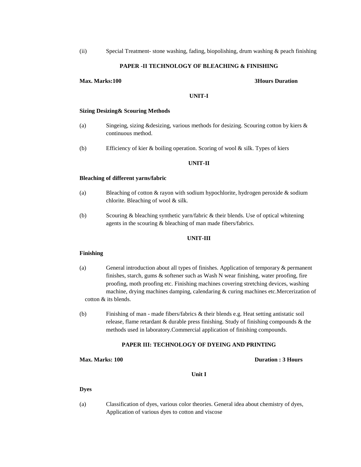(ii) Special Treatment- stone washing, fading, biopolishing, drum washing & peach finishing

### **PAPER -II TECHNOLOGY OF BLEACHING & FINISHING**

### **Max. Marks:100 3Hours Duration**

### **UNIT-I**

### **Sizing Desizing& Scouring Methods**

- (a) Singeing, sizing &desizing, various methods for desizing. Scouring cotton by kiers & continuous method.
- (b) Efficiency of kier & boiling operation. Scoring of wool & silk. Types of kiers

### **UNIT-II**

### **Bleaching of different yarns/fabric**

- (a) Bleaching of cotton & rayon with sodium hypochlorite, hydrogen peroxide & sodium chlorite. Bleaching of wool & silk.
- (b) Scouring & bleaching synthetic yarn/fabric & their blends. Use of optical whitening agents in the scouring & bleaching of man made fibers/fabrics.

### **UNIT-III**

### **Finishing**

- (a) General introduction about all types of finishes. Application of temporary & permanent finishes, starch, gums & softener such as Wash N wear finishing, water proofing, fire proofing, moth proofing etc. Finishing machines covering stretching devices, washing machine, drying machines damping, calendaring & curing machines etc.Mercerization of cotton & its blends.
- (b) Finishing of man made fibers/fabrics & their blends e.g. Heat setting antistatic soil release, flame retardant & durable press finishing. Study of finishing compounds & the methods used in laboratory.Commercial application of finishing compounds.

### **PAPER III: TECHNOLOGY OF DYEING AND PRINTING**

### **Max. Marks: 100 Duration : 3 Hours**

**Unit I**

### **Dyes**

(a) Classification of dyes, various color theories. General idea about chemistry of dyes, Application of various dyes to cotton and viscose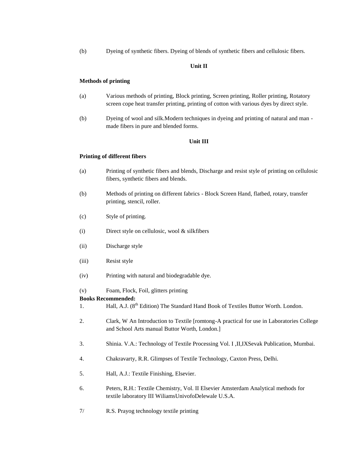(b) Dyeing of synthetic fibers. Dyeing of blends of synthetic fibers and cellulosic fibers.

### **Unit II**

### **Methods of printing**

- (a) Various methods of printing, Block printing, Screen printing, Roller printing, Rotatory screen cope heat transfer printing, printing of cotton with various dyes by direct style.
- (b) Dyeing of wool and silk.Modern techniques in dyeing and printing of natural and man made fibers in pure and blended forms.

### **Unit III**

### **Printing of different fibers**

- (a) Printing of synthetic fibers and blends, Discharge and resist style of printing on cellulosic fibers, synthetic fibers and blends.
- (b) Methods of printing on different fabrics Block Screen Hand, flatbed, rotary, transfer printing, stencil, roller.
- (c) Style of printing.
- (i) Direct style on cellulosic, wool & silkfibers
- (ii) Discharge style
- (iii) Resist style
- (iv) Printing with natural and biodegradable dye.

### (v) Foam, Flock, Foil, glitters printing

### **Books Recommended:**

- 1. Hall, A.J. (8<sup>th</sup> Edition) The Standard Hand Book of Textiles Buttor Worth. London.
- 2. Clark, W An Introduction to Textile [romtong-A practical for use in Laboratories College and School Arts manual Buttor Worth, London.]
- 3. Shinia. V.A.: Technology of Textile Processing Vol. I ,II,IXSevak Publication, Mumbai.
- 4. Chakravarty, R.R. Glimpses of Textile Technology, Caxton Press, Delhi.
- 5. Hall, A.J.: Textile Finishing, Elsevier.
- 6. Peters, R.H.: Textile Chemistry, Vol. II Elsevier Amsterdam Analytical methods for textile laboratory III WiliamsUnivofoDelewale U.S.A.
- 7/ R.S. Prayog technology textile printing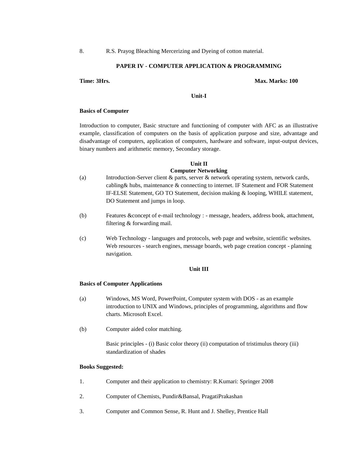### **PAPER IV - COMPUTER APPLICATION & PROGRAMMING**

### **Time: 3Hrs. Max. Marks: 100**

**Unit-I**

### **Basics of Computer**

Introduction to computer, Basic structure and functioning of computer with AFC as an illustrative example, classification of computers on the basis of application purpose and size, advantage and disadvantage of computers, application of computers, hardware and software, input-output devices, binary numbers and arithmetic memory, Secondary storage.

### **Unit II Computer Networking**

- (a) Introduction-Server client & parts, server & network operating system, network cards, cabling& hubs, maintenance & connecting to internet. IF Statement and FOR Statement IF-ELSE Statement, GO TO Statement, decision making & looping, WHILE statement, DO Statement and jumps in loop.
- (b) Features &concept of e-mail technology : message, headers, address book, attachment, filtering & forwarding mail.
- (c) Web Technology languages and protocols, web page and website, scientific websites. Web resources - search engines, message boards, web page creation concept - planning navigation.

### **Unit III**

### **Basics of Computer Applications**

- (a) Windows, MS Word, PowerPoint, Computer system with DOS as an example introduction to UNIX and Windows, principles of programming, algorithms and flow charts. Microsoft Excel.
- (b) Computer aided color matching.

Basic principles - (i) Basic color theory (ii) computation of tristimulus theory (iii) standardization of shades

### **Books Suggested:**

- 1. Computer and their application to chemistry: R.Kumari: Springer 2008
- 2. Computer of Chemists, Pundir&Bansal, PragatiPrakashan
- 3. Computer and Common Sense, R. Hunt and J. Shelley, Prentice Hall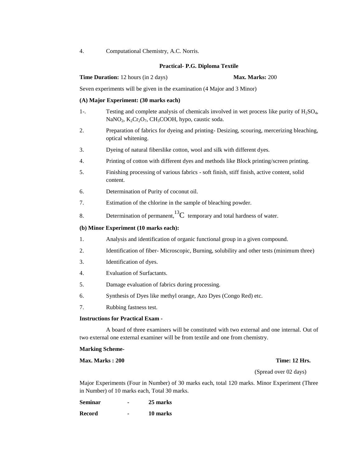### **Practical- P.G. Diploma Textile**

**Time Duration:** 12 hours (in 2 days) **Max. Marks:** 200

Seven experiments will be given in the examination (4 Major and 3 Minor)

### **(A) Major Experiment: (30 marks each)**

- 1-. Testing and complete analysis of chemicals involved in wet process like purity of H2SO4, NaNO<sub>2</sub>, K<sub>2</sub>Cr<sub>2</sub>O<sub>7</sub>, CH<sub>3</sub>COOH, hypo, caustic soda.
- 2. Preparation of fabrics for dyeing and printing- Desizing, scouring, mercerizing bleaching, optical whitening.
- 3. Dyeing of natural fiberslike cotton, wool and silk with different dyes.
- 4. Printing of cotton with different dyes and methods like Block printing/screen printing.
- 5. Finishing processing of various fabrics soft finish, stiff finish, active content, solid content.
- 6. Determination of Purity of coconut oil.
- 7. Estimation of the chlorine in the sample of bleaching powder.
- 8. Determination of permanent,  ${}^{13}C$  temporary and total hardness of water.

### **(b) Minor Experiment (10 marks each):**

- 1. Analysis and identification of organic functional group in a given compound.
- 2. Identification of fiber- Microscopic, Burning, solubility and other tests (minimum three)
- 3. Identification of dyes.
- 4. Evaluation of Surfactants.
- 5. Damage evaluation of fabrics during processing.
- 6. Synthesis of Dyes like methyl orange, Azo Dyes (Congo Red) etc.
- 7. Rubbing fastness test.

### **Instructions for Practical Exam -**

A board of three examiners will be constituted with two external and one internal. Out of two external one external examiner will be from textile and one from chemistry.

### **Marking Scheme-**

### **Max. Marks : 200 Time: 12 Hrs.**

(Spread over 02 days)

Major Experiments (Four in Number) of 30 marks each, total 120 marks. Minor Experiment (Three in Number) of 10 marks each, Total 30 marks.

**Seminar - 25 marks**

**Record - 10 marks**